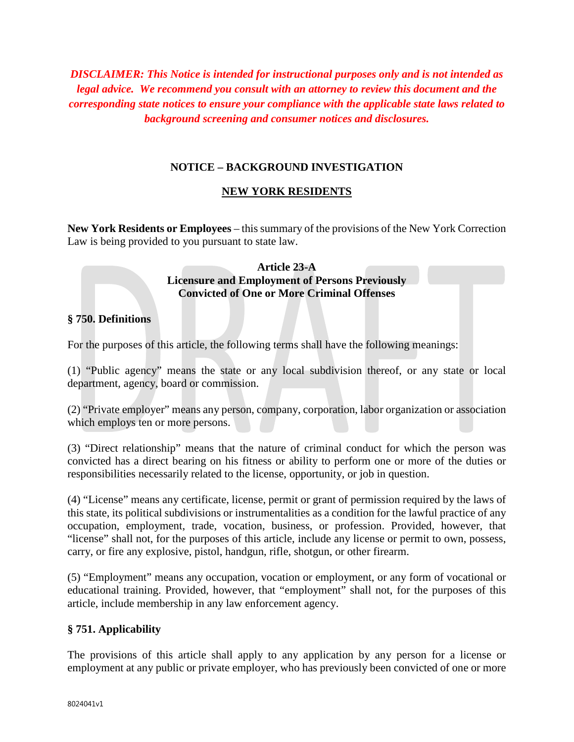*DISCLAIMER: This Notice is intended for instructional purposes only and is not intended as legal advice. We recommend you consult with an attorney to review this document and the corresponding state notices to ensure your compliance with the applicable state laws related to background screening and consumer notices and disclosures.*

# **NOTICE – BACKGROUND INVESTIGATION**

## **NEW YORK RESIDENTS**

**New York Residents or Employees** – this summary of the provisions of the New York Correction Law is being provided to you pursuant to state law.

## **Article 23-A Licensure and Employment of Persons Previously Convicted of One or More Criminal Offenses**

#### **§ 750. Definitions**

For the purposes of this article, the following terms shall have the following meanings:

(1) "Public agency" means the state or any local subdivision thereof, or any state or local department, agency, board or commission.

(2) "Private employer" means any person, company, corporation, labor organization or association which employs ten or more persons.

(3) "Direct relationship" means that the nature of criminal conduct for which the person was convicted has a direct bearing on his fitness or ability to perform one or more of the duties or responsibilities necessarily related to the license, opportunity, or job in question.

(4) "License" means any certificate, license, permit or grant of permission required by the laws of this state, its political subdivisions or instrumentalities as a condition for the lawful practice of any occupation, employment, trade, vocation, business, or profession. Provided, however, that "license" shall not, for the purposes of this article, include any license or permit to own, possess, carry, or fire any explosive, pistol, handgun, rifle, shotgun, or other firearm.

(5) "Employment" means any occupation, vocation or employment, or any form of vocational or educational training. Provided, however, that "employment" shall not, for the purposes of this article, include membership in any law enforcement agency.

## **§ 751. Applicability**

The provisions of this article shall apply to any application by any person for a license or employment at any public or private employer, who has previously been convicted of one or more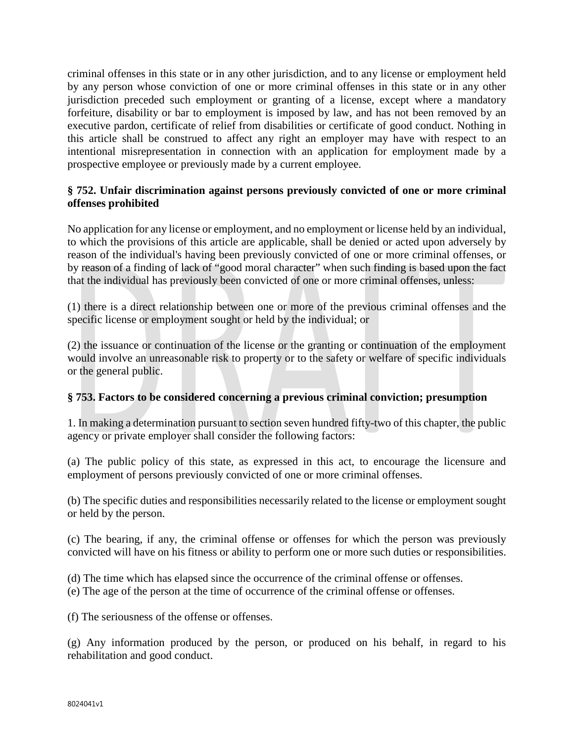criminal offenses in this state or in any other jurisdiction, and to any license or employment held by any person whose conviction of one or more criminal offenses in this state or in any other jurisdiction preceded such employment or granting of a license, except where a mandatory forfeiture, disability or bar to employment is imposed by law, and has not been removed by an executive pardon, certificate of relief from disabilities or certificate of good conduct. Nothing in this article shall be construed to affect any right an employer may have with respect to an intentional misrepresentation in connection with an application for employment made by a prospective employee or previously made by a current employee.

## **§ 752. Unfair discrimination against persons previously convicted of one or more criminal offenses prohibited**

No application for any license or employment, and no employment or license held by an individual, to which the provisions of this article are applicable, shall be denied or acted upon adversely by reason of the individual's having been previously convicted of one or more criminal offenses, or by reason of a finding of lack of "good moral character" when such finding is based upon the fact that the individual has previously been convicted of one or more criminal offenses, unless:

(1) there is a direct relationship between one or more of the previous criminal offenses and the specific license or employment sought or held by the individual; or

(2) the issuance or continuation of the license or the granting or continuation of the employment would involve an unreasonable risk to property or to the safety or welfare of specific individuals or the general public.

## **§ 753. Factors to be considered concerning a previous criminal conviction; presumption**

1. In making a determination pursuant to section seven hundred fifty-two of this chapter, the public agency or private employer shall consider the following factors:

(a) The public policy of this state, as expressed in this act, to encourage the licensure and employment of persons previously convicted of one or more criminal offenses.

(b) The specific duties and responsibilities necessarily related to the license or employment sought or held by the person.

(c) The bearing, if any, the criminal offense or offenses for which the person was previously convicted will have on his fitness or ability to perform one or more such duties or responsibilities.

(d) The time which has elapsed since the occurrence of the criminal offense or offenses. (e) The age of the person at the time of occurrence of the criminal offense or offenses.

(f) The seriousness of the offense or offenses.

(g) Any information produced by the person, or produced on his behalf, in regard to his rehabilitation and good conduct.